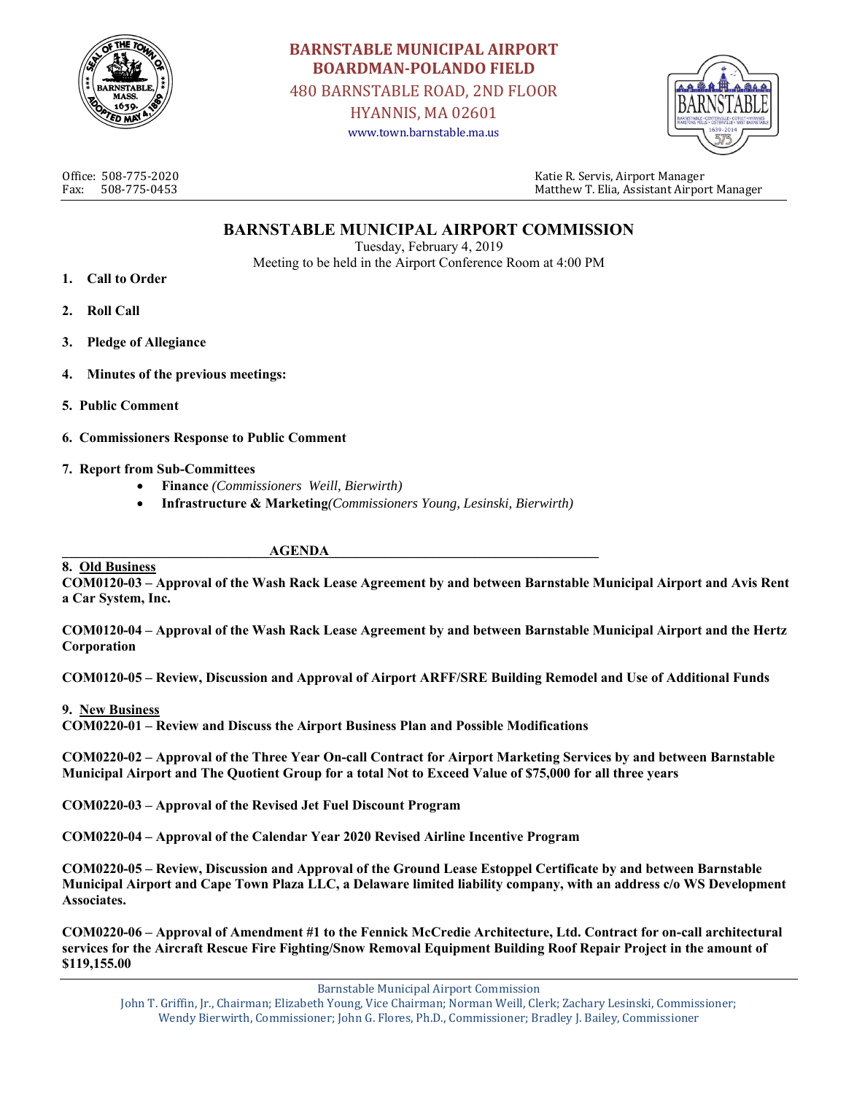

# **BARNSTABLE MUNICIPAL AIRPORT BOARDMAN‐POLANDO FIELD** 480 BARNSTABLE ROAD, 2ND FLOOR

HYANNIS, MA 02601 www.town.barnstable.ma.us



Office: 508-775-2020 Katie R. Servis, Airport Manager Fax: 508-775-0453 Matthew T. Elia, Assistant Airport Manager

### **BARNSTABLE MUNICIPAL AIRPORT COMMISSION**

Tuesday, February 4, 2019 Meeting to be held in the Airport Conference Room at 4:00 PM

- **1. Call to Order**
- **2. Roll Call**
- **3. Pledge of Allegiance**
- **4. Minutes of the previous meetings:**
- **5. Public Comment**
- **6. Commissioners Response to Public Comment**
- **7. Report from Sub-Committees** 
	- **Finance** *(Commissioners Weill, Bierwirth)*
	- **Infrastructure & Marketing***(Commissioners Young, Lesinski, Bierwirth)*

#### ${\bf \overline{A}\overline{A}\overline{B}}$

**8. Old Business COM0120-03 – Approval of the Wash Rack Lease Agreement by and between Barnstable Municipal Airport and Avis Rent a Car System, Inc.** 

**COM0120-04 – Approval of the Wash Rack Lease Agreement by and between Barnstable Municipal Airport and the Hertz Corporation** 

**COM0120-05 – Review, Discussion and Approval of Airport ARFF/SRE Building Remodel and Use of Additional Funds** 

#### **9. New Business**

**COM0220-01 – Review and Discuss the Airport Business Plan and Possible Modifications** 

**COM0220-02 – Approval of the Three Year On-call Contract for Airport Marketing Services by and between Barnstable Municipal Airport and The Quotient Group for a total Not to Exceed Value of \$75,000 for all three years** 

**COM0220-03 – Approval of the Revised Jet Fuel Discount Program** 

**COM0220-04 – Approval of the Calendar Year 2020 Revised Airline Incentive Program** 

**COM0220-05 – Review, Discussion and Approval of the Ground Lease Estoppel Certificate by and between Barnstable Municipal Airport and Cape Town Plaza LLC, a Delaware limited liability company, with an address c/o WS Development Associates.** 

**COM0220-06 – Approval of Amendment #1 to the Fennick McCredie Architecture, Ltd. Contract for on-call architectural services for the Aircraft Rescue Fire Fighting/Snow Removal Equipment Building Roof Repair Project in the amount of \$119,155.00** 

Barnstable Municipal Airport Commission

John T. Griffin, Jr., Chairman; Elizabeth Young, Vice Chairman; Norman Weill, Clerk; Zachary Lesinski, Commissioner; Wendy Bierwirth, Commissioner; John G. Flores, Ph.D., Commissioner; Bradley J. Bailey, Commissioner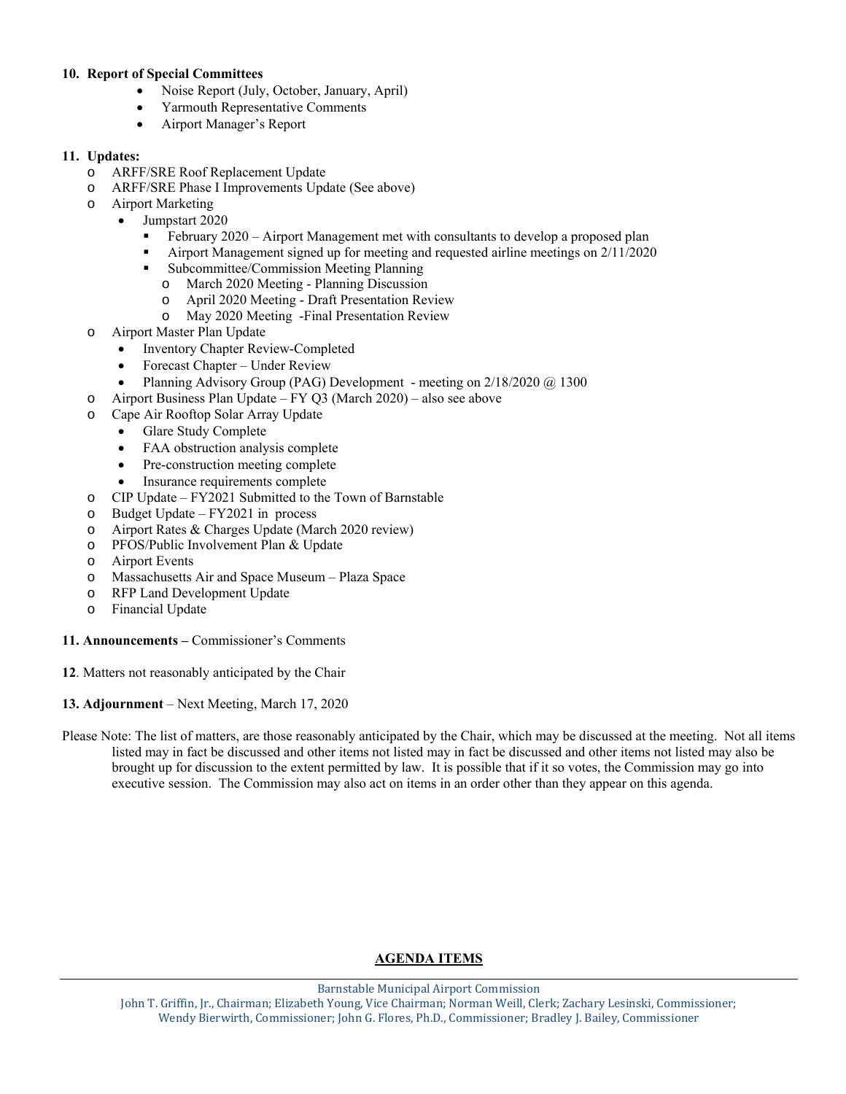#### **10. Report of Special Committees**

- Noise Report (July, October, January, April)
- Yarmouth Representative Comments
- Airport Manager's Report

### **11. Updates:**

- o ARFF/SRE Roof Replacement Update
- o ARFF/SRE Phase I Improvements Update (See above)
- o Airport Marketing
	- Jumpstart 2020
		- February 2020 Airport Management met with consultants to develop a proposed plan
		- Airport Management signed up for meeting and requested airline meetings on 2/11/2020
		- Subcommittee/Commission Meeting Planning
			- o March 2020 Meeting Planning Discussion
			- o April 2020 Meeting Draft Presentation Review
			- o May 2020 Meeting -Final Presentation Review
- o Airport Master Plan Update
	- Inventory Chapter Review-Completed
	- Forecast Chapter Under Review
	- Planning Advisory Group (PAG) Development meeting on 2/18/2020 @ 1300
- o Airport Business Plan Update FY Q3 (March 2020) also see above
- o Cape Air Rooftop Solar Array Update
	- Glare Study Complete
	- FAA obstruction analysis complete
	- Pre-construction meeting complete
	- Insurance requirements complete
- o CIP Update FY2021 Submitted to the Town of Barnstable
- o Budget Update FY2021 in process
- o Airport Rates & Charges Update (March 2020 review)
- o PFOS/Public Involvement Plan & Update
- o Airport Events
- o Massachusetts Air and Space Museum Plaza Space
- o RFP Land Development Update
- o Financial Update
- **11. Announcements** Commissioner's Comments
- **12**. Matters not reasonably anticipated by the Chair
- **13. Adjournment** Next Meeting, March 17, 2020
- Please Note: The list of matters, are those reasonably anticipated by the Chair, which may be discussed at the meeting. Not all items listed may in fact be discussed and other items not listed may in fact be discussed and other items not listed may also be brought up for discussion to the extent permitted by law. It is possible that if it so votes, the Commission may go into executive session. The Commission may also act on items in an order other than they appear on this agenda.

### **AGENDA ITEMS**

Barnstable Municipal Airport Commission